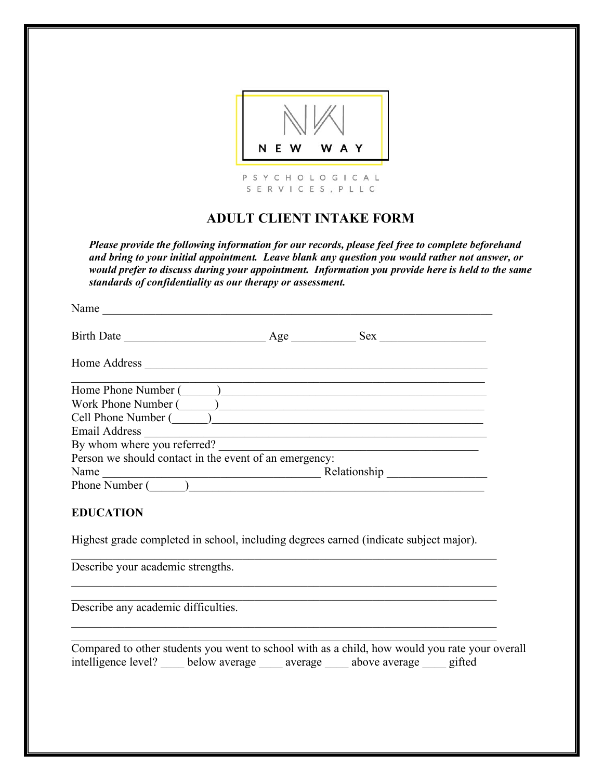

# **ADULT CLIENT INTAKE FORM**

*Please provide the following information for our records, please feel free to complete beforehand and bring to your initial appointment. Leave blank any question you would rather not answer, or would prefer to discuss during your appointment. Information you provide here is held to the same standards of confidentiality as our therapy or assessment.*

| Name                                                   |     |              |  |  |
|--------------------------------------------------------|-----|--------------|--|--|
| <b>Birth Date</b>                                      | Age | <b>Sex</b>   |  |  |
| Home Address                                           |     |              |  |  |
| Home Phone Number (                                    |     |              |  |  |
| Work Phone Number (                                    |     |              |  |  |
| Cell Phone Number ()                                   |     |              |  |  |
| Email Address                                          |     |              |  |  |
| By whom where you referred?                            |     |              |  |  |
| Person we should contact in the event of an emergency: |     |              |  |  |
| Name                                                   |     | Relationship |  |  |
| Phone Number                                           |     |              |  |  |

# **EDUCATION**

Highest grade completed in school, including degrees earned (indicate subject major).

 $\mathcal{L}_\text{max}$  , and the contribution of the contribution of the contribution of the contribution of the contribution of the contribution of the contribution of the contribution of the contribution of the contribution of t

 $\mathcal{L}_\text{max}$  , and the contribution of the contribution of the contribution of the contribution of the contribution of the contribution of the contribution of the contribution of the contribution of the contribution of t  $\mathcal{L}_\text{max}$  , and the contribution of the contribution of the contribution of the contribution of the contribution of the contribution of the contribution of the contribution of the contribution of the contribution of t

 $\mathcal{L}_\text{max}$  , and the contribution of the contribution of the contribution of the contribution of the contribution of the contribution of the contribution of the contribution of the contribution of the contribution of t  $\mathcal{L}_\text{max}$  , and the contribution of the contribution of the contribution of the contribution of the contribution of the contribution of the contribution of the contribution of the contribution of the contribution of t

Describe your academic strengths.

Describe any academic difficulties.

Compared to other students you went to school with as a child, how would you rate your overall intelligence level? \_\_\_\_ below average \_\_\_\_ average \_\_\_\_ above average \_\_\_\_ gifted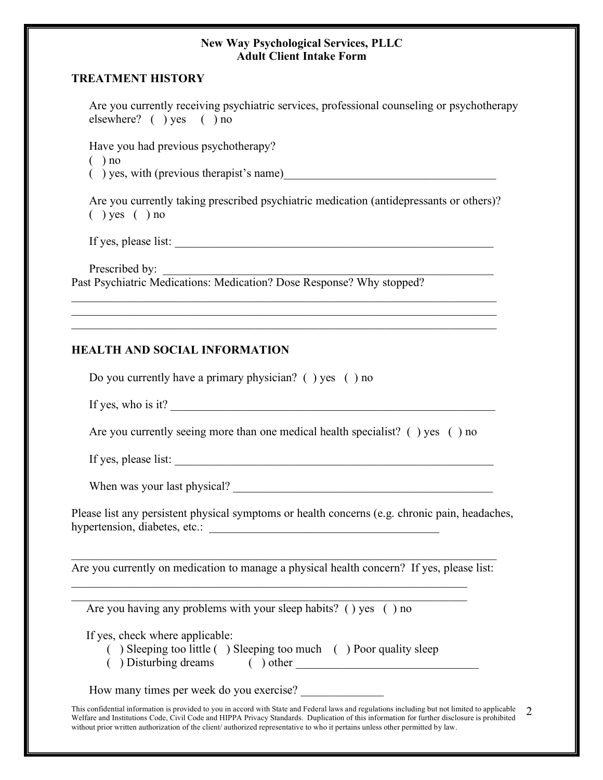#### **TREATMENT HISTORY**

Are you currently receiving psychiatric services, professional counseling or psychotherapy elsewhere? ( ) yes ( ) no Have you had previous psychotherapy?  $($ ) no  $($ ) yes, with (previous therapist's name) Are you currently taking prescribed psychiatric medication (antidepressants or others)?  $($ ) yes  $($ ) no If yes, please list: \_\_\_\_\_\_\_\_\_\_\_\_\_\_\_\_\_\_\_\_\_\_\_\_\_\_\_\_\_\_\_\_\_\_\_\_\_\_\_\_\_\_\_\_\_\_\_\_\_\_\_\_\_\_

Prescribed by: Past Psychiatric Medications: Medication? Dose Response? Why stopped?

#### **HEALTH AND SOCIAL INFORMATION**

Do you currently have a primary physician? ( ) yes ( ) no

If yes, who is it?

Are you currently seeing more than one medical health specialist? () yes () no

 $\mathcal{L}_\text{max} = \mathcal{L}_\text{max} = \mathcal{L}_\text{max} = \mathcal{L}_\text{max} = \mathcal{L}_\text{max} = \mathcal{L}_\text{max} = \mathcal{L}_\text{max} = \mathcal{L}_\text{max} = \mathcal{L}_\text{max} = \mathcal{L}_\text{max} = \mathcal{L}_\text{max} = \mathcal{L}_\text{max} = \mathcal{L}_\text{max} = \mathcal{L}_\text{max} = \mathcal{L}_\text{max} = \mathcal{L}_\text{max} = \mathcal{L}_\text{max} = \mathcal{L}_\text{max} = \mathcal{$  $\mathcal{L}_\text{max}$  , and the contribution of the contribution of the contribution of the contribution of the contribution of the contribution of the contribution of the contribution of the contribution of the contribution of t  $\mathcal{L}_\text{max}$  , and the contribution of the contribution of the contribution of the contribution of the contribution of the contribution of the contribution of the contribution of the contribution of the contribution of t

If yes, please list: \_\_\_\_\_\_\_\_\_\_\_\_\_\_\_\_\_\_\_\_\_\_\_\_\_\_\_\_\_\_\_\_\_\_\_\_\_\_\_\_\_\_\_\_\_\_\_\_\_\_\_\_\_\_

When was your last physical?

Please list any persistent physical symptoms or health concerns (e.g. chronic pain, headaches, hypertension, diabetes, etc.:

 $\mathcal{L}_\text{max}$  , and the contribution of the contribution of the contribution of the contribution of the contribution of the contribution of the contribution of the contribution of the contribution of the contribution of t Are you currently on medication to manage a physical health concern? If yes, please list:

 $\mathcal{L}_\mathcal{L} = \{ \mathcal{L}_\mathcal{L} = \{ \mathcal{L}_\mathcal{L} = \{ \mathcal{L}_\mathcal{L} = \{ \mathcal{L}_\mathcal{L} = \{ \mathcal{L}_\mathcal{L} = \{ \mathcal{L}_\mathcal{L} = \{ \mathcal{L}_\mathcal{L} = \{ \mathcal{L}_\mathcal{L} = \{ \mathcal{L}_\mathcal{L} = \{ \mathcal{L}_\mathcal{L} = \{ \mathcal{L}_\mathcal{L} = \{ \mathcal{L}_\mathcal{L} = \{ \mathcal{L}_\mathcal{L} = \{ \mathcal{L}_\mathcal{$  $\mathcal{L}_\mathcal{L} = \{ \mathcal{L}_\mathcal{L} = \{ \mathcal{L}_\mathcal{L} = \{ \mathcal{L}_\mathcal{L} = \{ \mathcal{L}_\mathcal{L} = \{ \mathcal{L}_\mathcal{L} = \{ \mathcal{L}_\mathcal{L} = \{ \mathcal{L}_\mathcal{L} = \{ \mathcal{L}_\mathcal{L} = \{ \mathcal{L}_\mathcal{L} = \{ \mathcal{L}_\mathcal{L} = \{ \mathcal{L}_\mathcal{L} = \{ \mathcal{L}_\mathcal{L} = \{ \mathcal{L}_\mathcal{L} = \{ \mathcal{L}_\mathcal{$ 

Are you having any problems with your sleep habits? () yes () no

If yes, check where applicable:

- ( ) Sleeping too little ( ) Sleeping too much ( ) Poor quality sleep
- ( ) Disturbing dreams ( ) other \_\_\_\_\_\_\_\_\_\_\_\_\_\_\_\_\_\_\_\_\_\_\_\_\_\_\_\_\_\_\_

How many times per week do you exercise?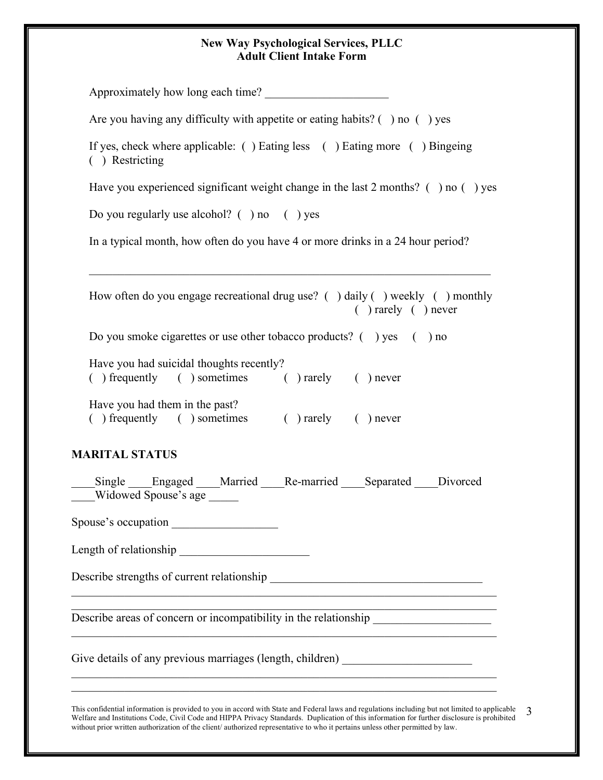| Approximately how long each time?                                                                                                                                                       |  |  |  |                                                  |
|-----------------------------------------------------------------------------------------------------------------------------------------------------------------------------------------|--|--|--|--------------------------------------------------|
| Are you having any difficulty with appetite or eating habits? $( )$ no $( )$ yes                                                                                                        |  |  |  |                                                  |
| If yes, check where applicable: () Eating less () Eating more () Bingeing<br>( ) Restricting<br>Have you experienced significant weight change in the last 2 months? $($ ) no $($ ) yes |  |  |  |                                                  |
|                                                                                                                                                                                         |  |  |  | Do you regularly use alcohol? $( )$ no $( )$ yes |
| In a typical month, how often do you have 4 or more drinks in a 24 hour period?                                                                                                         |  |  |  |                                                  |
| How often do you engage recreational drug use? ( $\cdot$ ) daily ( $\cdot$ ) weekly ( $\cdot$ ) monthly<br>$( )$ rarely $( )$ never                                                     |  |  |  |                                                  |
| Do you smoke cigarettes or use other tobacco products? () yes () no                                                                                                                     |  |  |  |                                                  |
| Have you had suicidal thoughts recently?<br>() frequently () sometimes () rarely () never                                                                                               |  |  |  |                                                  |
| Have you had them in the past?<br>() frequently () sometimes () rarely () never                                                                                                         |  |  |  |                                                  |
| <b>MARITAL STATUS</b>                                                                                                                                                                   |  |  |  |                                                  |
| Single Engaged Married Re-married Separated Divorced<br>Widowed Spouse's age                                                                                                            |  |  |  |                                                  |
|                                                                                                                                                                                         |  |  |  |                                                  |
|                                                                                                                                                                                         |  |  |  |                                                  |
|                                                                                                                                                                                         |  |  |  |                                                  |
| Describe areas of concern or incompatibility in the relationship                                                                                                                        |  |  |  |                                                  |
| Give details of any previous marriages (length, children) ______________________                                                                                                        |  |  |  |                                                  |
|                                                                                                                                                                                         |  |  |  |                                                  |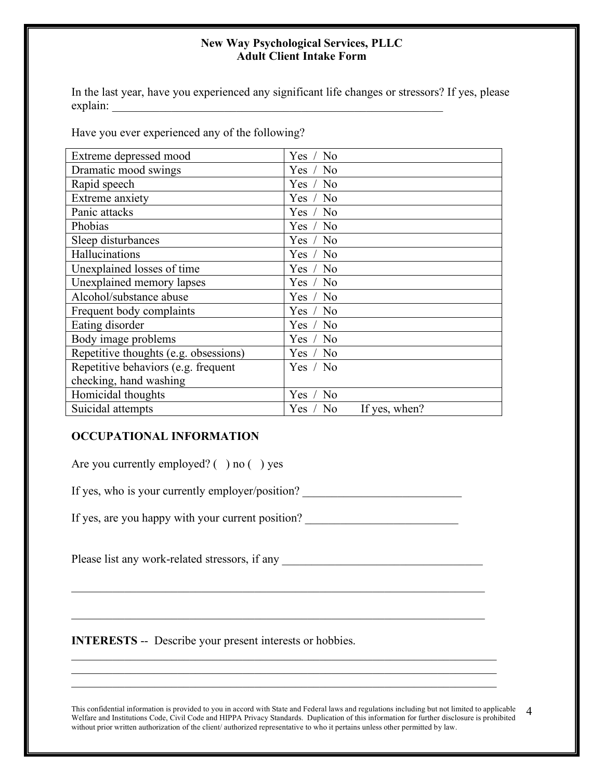In the last year, have you experienced any significant life changes or stressors? If yes, please explain: \_\_\_\_\_\_\_\_\_\_\_\_\_\_\_\_\_\_\_\_\_\_\_\_\_\_\_\_\_\_\_\_\_\_\_\_\_\_\_\_\_\_\_\_\_\_\_\_\_\_\_\_\_\_\_\_

Have you ever experienced any of the following?

| Extreme depressed mood                | Yes / No                  |
|---------------------------------------|---------------------------|
| Dramatic mood swings                  | Yes / No                  |
|                                       |                           |
| Rapid speech                          | Yes / No                  |
| Extreme anxiety                       | Yes / No                  |
| Panic attacks                         | Yes / No                  |
| Phobias                               | Yes / No                  |
| Sleep disturbances                    | Yes / No                  |
| Hallucinations                        | Yes / No                  |
| Unexplained losses of time            | Yes / No                  |
| Unexplained memory lapses             | Yes / No                  |
| Alcohol/substance abuse               | Yes / No                  |
| Frequent body complaints              | Yes / No                  |
| Eating disorder                       | Yes / No                  |
| Body image problems                   | Yes / No                  |
| Repetitive thoughts (e.g. obsessions) | Yes / No                  |
| Repetitive behaviors (e.g. frequent   | Yes / No                  |
| checking, hand washing                |                           |
| Homicidal thoughts                    | Yes / No                  |
| Suicidal attempts                     | Yes / No<br>If yes, when? |

# **OCCUPATIONAL INFORMATION**

Are you currently employed?  $( )$  no  $( )$  yes

If yes, who is your currently employer/position? \_\_\_\_\_\_\_\_\_\_\_\_\_\_\_\_\_\_\_\_\_\_\_\_\_\_\_\_\_\_\_

If yes, are you happy with your current position? \_\_\_\_\_\_\_\_\_\_\_\_\_\_\_\_\_\_\_\_\_\_\_\_\_\_\_\_\_\_

Please list any work-related stressors, if any \_\_\_\_\_\_\_\_\_\_\_\_\_\_\_\_\_\_\_\_\_\_\_\_\_\_\_\_\_\_\_\_\_\_

 $\mathcal{L}_\text{max}$  and  $\mathcal{L}_\text{max}$  and  $\mathcal{L}_\text{max}$  and  $\mathcal{L}_\text{max}$  and  $\mathcal{L}_\text{max}$  and  $\mathcal{L}_\text{max}$ 

 $\mathcal{L}_\text{max}$  and  $\mathcal{L}_\text{max}$  and  $\mathcal{L}_\text{max}$  and  $\mathcal{L}_\text{max}$  and  $\mathcal{L}_\text{max}$  and  $\mathcal{L}_\text{max}$ 

 $\mathcal{L}_\text{max}$  , and the contribution of the contribution of the contribution of the contribution of the contribution of the contribution of the contribution of the contribution of the contribution of the contribution of t  $\mathcal{L}_\text{max}$  , and the contribution of the contribution of the contribution of the contribution of the contribution of the contribution of the contribution of the contribution of the contribution of the contribution of t  $\mathcal{L}_\text{max} = \mathcal{L}_\text{max} = \mathcal{L}_\text{max} = \mathcal{L}_\text{max} = \mathcal{L}_\text{max} = \mathcal{L}_\text{max} = \mathcal{L}_\text{max} = \mathcal{L}_\text{max} = \mathcal{L}_\text{max} = \mathcal{L}_\text{max} = \mathcal{L}_\text{max} = \mathcal{L}_\text{max} = \mathcal{L}_\text{max} = \mathcal{L}_\text{max} = \mathcal{L}_\text{max} = \mathcal{L}_\text{max} = \mathcal{L}_\text{max} = \mathcal{L}_\text{max} = \mathcal{$ 

**INTERESTS** -- Describe your present interests or hobbies.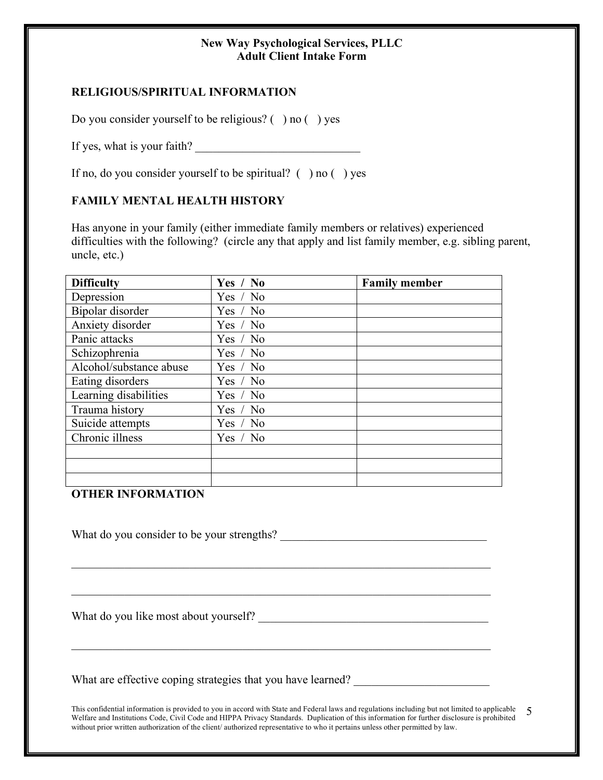# **RELIGIOUS/SPIRITUAL INFORMATION**

Do you consider yourself to be religious? ( ) no ( ) yes

If yes, what is your faith?

If no, do you consider yourself to be spiritual?  $( )$  no  $( )$  yes

# **FAMILY MENTAL HEALTH HISTORY**

Has anyone in your family (either immediate family members or relatives) experienced difficulties with the following? (circle any that apply and list family member, e.g. sibling parent, uncle, etc.)

| <b>Difficulty</b>       | Yes / No   | <b>Family member</b> |
|-------------------------|------------|----------------------|
| Depression              | Yes $/$ No |                      |
| Bipolar disorder        | Yes / No   |                      |
| Anxiety disorder        | Yes / No   |                      |
| Panic attacks           | Yes / No   |                      |
| Schizophrenia           | Yes / No   |                      |
| Alcohol/substance abuse | Yes / No   |                      |
| Eating disorders        | Yes / No   |                      |
| Learning disabilities   | Yes / No   |                      |
| Trauma history          | Yes / No   |                      |
| Suicide attempts        | Yes / No   |                      |
| Chronic illness         | Yes / No   |                      |
|                         |            |                      |
|                         |            |                      |
|                         |            |                      |

#### **OTHER INFORMATION**

What do you consider to be your strengths?

 $\mathcal{L}_\text{max}$  , and the contribution of the contribution of the contribution of the contribution of the contribution of the contribution of the contribution of the contribution of the contribution of the contribution of t

 $\mathcal{L}_\text{max}$  , and the contribution of the contribution of the contribution of the contribution of the contribution of the contribution of the contribution of the contribution of the contribution of the contribution of t

 $\mathcal{L}_\mathcal{L} = \mathcal{L}_\mathcal{L} = \mathcal{L}_\mathcal{L} = \mathcal{L}_\mathcal{L} = \mathcal{L}_\mathcal{L} = \mathcal{L}_\mathcal{L} = \mathcal{L}_\mathcal{L} = \mathcal{L}_\mathcal{L} = \mathcal{L}_\mathcal{L} = \mathcal{L}_\mathcal{L} = \mathcal{L}_\mathcal{L} = \mathcal{L}_\mathcal{L} = \mathcal{L}_\mathcal{L} = \mathcal{L}_\mathcal{L} = \mathcal{L}_\mathcal{L} = \mathcal{L}_\mathcal{L} = \mathcal{L}_\mathcal{L}$ 

What do you like most about yourself? \_\_\_\_\_\_\_\_\_\_\_\_\_\_\_\_\_\_\_\_\_\_\_\_\_\_\_\_\_\_\_\_\_\_\_\_\_\_\_

What are effective coping strategies that you have learned?